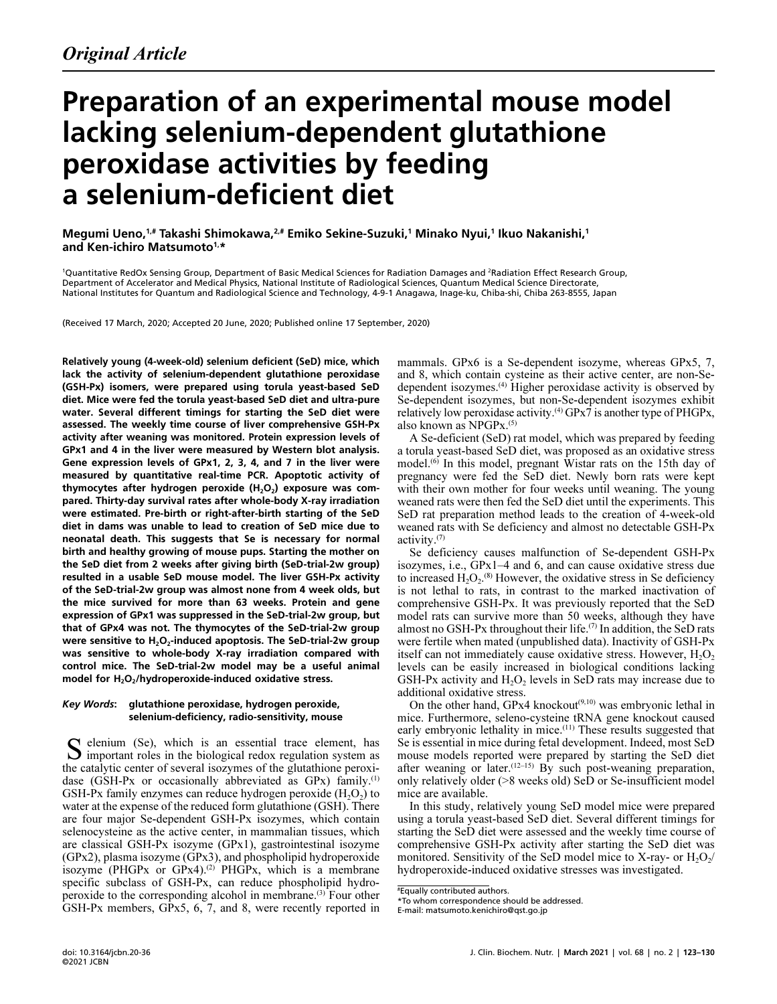# Preparation of an experimental mouse model lacking selenium-dependent glutathione peroxidase activities by feeding a selenium-deficient diet

Megumi Ueno, $^{1,\ast}$  Takashi Shimokawa, $^{2,\ast}$  Emiko Sekine-Suzuki, $^1$  Minako Nyui, $^1$  Ikuo Nakanishi, $^1$ and Ken-ichiro Matsumoto<sup>1,\*</sup>

<sup>1</sup>Quantitative RedOx Sensing Group, Department of Basic Medical Sciences for Radiation Damages and <sup>2</sup>Radiation Effect Research Group, Department of Accelerator and Medical Physics, National Institute of Radiological Sciences, Quantum Medical Science Directorate, National Institutes for Quantum and Radiological Science and Technology, 4-9-1 Anagawa, Inage-ku, Chiba-shi, Chiba 263-8555, Japan

(Received 17 March, 2020; Accepted 20 June, 2020; Published online 17 September, 2020)

Relatively young (4-week-old) selenium deficient (SeD) mice, which lack the activity of selenium-dependent glutathione peroxidase (GSH-Px) isomers, were prepared using torula yeast-based SeD diet. Mice were fed the torula yeast-based SeD diet and ultra-pure water. Several different timings for starting the SeD diet were assessed. The weekly time course of liver comprehensive GSH-Px activity after weaning was monitored. Protein expression levels of GPx1 and 4 in the liver were measured by Western blot analysis. Gene expression levels of GPx1, 2, 3, 4, and 7 in the liver were measured by quantitative real-time PCR. Apoptotic activity of thymocytes after hydrogen peroxide (H $_{2}$ O $_{2}$ ) exposure was compared. Thirty-day survival rates after whole-body X-ray irradiation were estimated. Pre-birth or right-after-birth starting of the SeD diet in dams was unable to lead to creation of SeD mice due to neonatal death. This suggests that Se is necessary for normal birth and healthy growing of mouse pups. Starting the mother on the SeD diet from 2 weeks after giving birth (SeD-trial-2w group) resulted in a usable SeD mouse model. The liver GSH-Px activity of the SeD-trial-2w group was almost none from 4 week olds, but the mice survived for more than 63 weeks. Protein and gene expression of GPx1 was suppressed in the SeD-trial-2w group, but that of GPx4 was not. The thymocytes of the SeD-trial-2w group were sensitive to  $H_2O_2$ -induced apoptosis. The SeD-trial-2w group was sensitive to whole-body X-ray irradiation compared with control mice. The SeD-trial-2w model may be a useful animal model for  $H_2O_2$ /hydroperoxide-induced oxidative stress.

#### Key Words: glutathione peroxidase, hydrogen peroxide, selenium-deficiency, radio-sensitivity, mouse

elenium (Se), which is an essential trace element, has S elenium (Se), which is an essential trace element, has important roles in the biological redox regulation system as the catalytic center of several isozymes of the glutathione peroxidase (GSH-Px or occasionally abbreviated as GPx) family.<sup>(1)</sup> GSH-Px family enzymes can reduce hydrogen peroxide  $(H_2O_2)$  to water at the expense of the reduced form glutathione (GSH). There are four major Se-dependent GSH-Px isozymes, which contain selenocysteine as the active center, in mammalian tissues, which are classical GSH-Px isozyme (GPx1), gastrointestinal isozyme (GPx2), plasma isozyme (GPx3), and phospholipid hydroperoxide isozyme (PHGPx or  $GPx4$ ).<sup>(2)</sup> PHGPx, which is a membrane specific subclass of GSH-Px, can reduce phospholipid hydroperoxide to the corresponding alcohol in membrane.(3) Four other GSH-Px members, GPx5, 6, 7, and 8, were recently reported in

mammals. GPx6 is a Se-dependent isozyme, whereas GPx5, 7, and 8, which contain cysteine as their active center, are non-Sedependent isozymes.(4) Higher peroxidase activity is observed by Se-dependent isozymes, but non-Se-dependent isozymes exhibit relatively low peroxidase activity.<sup>(4)</sup> GPx $\overline{7}$  is another type of PHGPx, also known as NPGPx.(5)

A Se-deficient (SeD) rat model, which was prepared by feeding a torula yeast-based SeD diet, was proposed as an oxidative stress model.(6) In this model, pregnant Wistar rats on the 15th day of pregnancy were fed the SeD diet. Newly born rats were kept with their own mother for four weeks until weaning. The young weaned rats were then fed the SeD diet until the experiments. This SeD rat preparation method leads to the creation of 4-week-old weaned rats with Se deficiency and almost no detectable GSH-Px activity.(7)

Se deficiency causes malfunction of Se-dependent GSH-Px isozymes, i.e., GPx1–4 and 6, and can cause oxidative stress due to increased  $H_2O_2$ .<sup>(8)</sup> However, the oxidative stress in Se deficiency is not lethal to rats, in contrast to the marked inactivation of comprehensive GSH-Px. It was previously reported that the SeD model rats can survive more than 50 weeks, although they have almost no GSH-Px throughout their life.<sup>(7)</sup> In addition, the SeD rats were fertile when mated (unpublished data). Inactivity of GSH-Px itself can not immediately cause oxidative stress. However,  $H_2O_2$ levels can be easily increased in biological conditions lacking GSH-Px activity and  $H_2O_2$  levels in SeD rats may increase due to additional oxidative stress.

On the other hand, GPx4 knockout<sup>(9,10)</sup> was embryonic lethal in mice. Furthermore, seleno-cysteine tRNA gene knockout caused early embryonic lethality in mice.<sup>(11)</sup> These results suggested that Se is essential in mice during fetal development. Indeed, most SeD mouse models reported were prepared by starting the SeD diet after weaning or later.<sup> $(12–15)$ </sup> By such post-weaning preparation, only relatively older (>8 weeks old) SeD or Se-insufficient model mice are available.

In this study, relatively young SeD model mice were prepared using a torula yeast-based SeD diet. Several different timings for starting the SeD diet were assessed and the weekly time course of comprehensive GSH-Px activity after starting the SeD diet was monitored. Sensitivity of the SeD model mice to X-ray- or  $H_2O_2/$ hydroperoxide-induced oxidative stresses was investigated.

<sup>#</sup> Equally contributed authors.

<sup>\*</sup>To whom correspondence should be addressed.

E-mail: matsumoto.kenichiro@qst.go.jp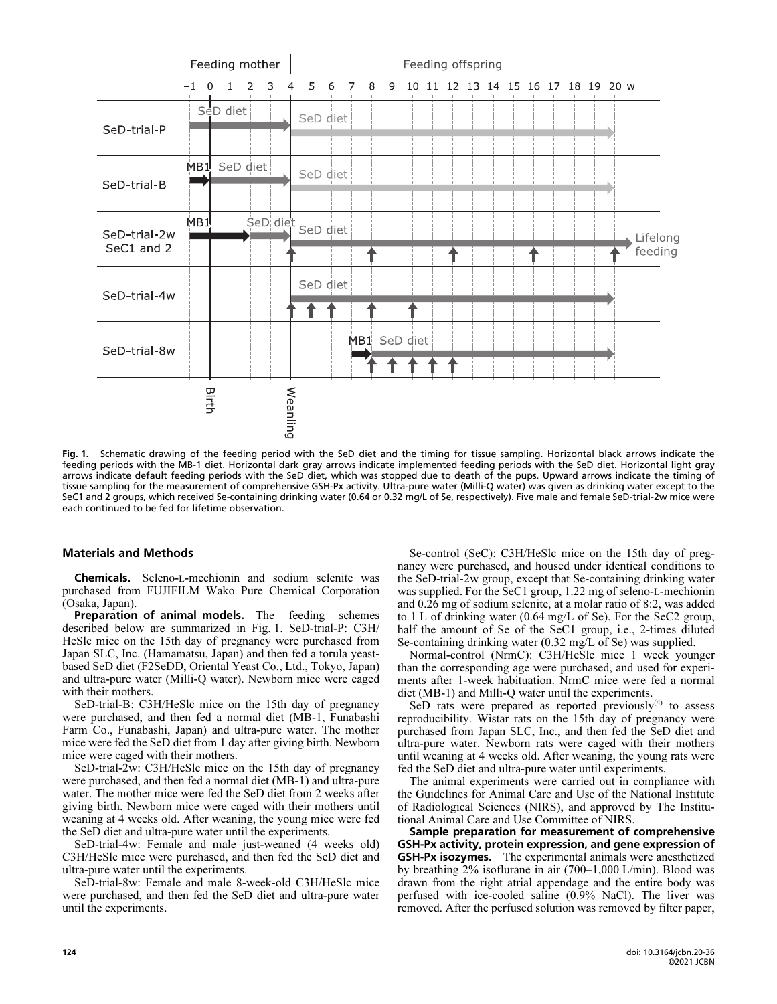

Fig. 1. Schematic drawing of the feeding period with the SeD diet and the timing for tissue sampling. Horizontal black arrows indicate the feeding periods with the MB-1 diet. Horizontal dark gray arrows indicate implemented feeding periods with the SeD diet. Horizontal light gray arrows indicate default feeding periods with the SeD diet, which was stopped due to death of the pups. Upward arrows indicate the timing of tissue sampling for the measurement of comprehensive GSH-Px activity. Ultra-pure water (Milli-Q water) was given as drinking water except to the SeC1 and 2 groups, which received Se-containing drinking water (0.64 or 0.32 mg/L of Se, respectively). Five male and female SeD-trial-2w mice were each continued to be fed for lifetime observation.

## Materials and Methods

Chemicals. Seleno-L-mechionin and sodium selenite was purchased from FUJIFILM Wako Pure Chemical Corporation (Osaka, Japan).

Preparation of animal models. The feeding schemes described below are summarized in Fig. 1. SeD-trial-P: C3H/ HeSlc mice on the 15th day of pregnancy were purchased from Japan SLC, Inc. (Hamamatsu, Japan) and then fed a torula yeastbased SeD diet (F2SeDD, Oriental Yeast Co., Ltd., Tokyo, Japan) and ultra-pure water (Milli-Q water). Newborn mice were caged with their mothers.

SeD-trial-B: C3H/HeSlc mice on the 15th day of pregnancy were purchased, and then fed a normal diet (MB-1, Funabashi Farm Co., Funabashi, Japan) and ultra-pure water. The mother mice were fed the SeD diet from 1 day after giving birth. Newborn mice were caged with their mothers.

SeD-trial-2w: C3H/HeSlc mice on the 15th day of pregnancy were purchased, and then fed a normal diet (MB-1) and ultra-pure water. The mother mice were fed the SeD diet from 2 weeks after giving birth. Newborn mice were caged with their mothers until weaning at 4 weeks old. After weaning, the young mice were fed the SeD diet and ultra-pure water until the experiments.

SeD-trial-4w: Female and male just-weaned (4 weeks old) C3H/HeSlc mice were purchased, and then fed the SeD diet and ultra-pure water until the experiments.

SeD-trial-8w: Female and male 8-week-old C3H/HeSlc mice were purchased, and then fed the SeD diet and ultra-pure water until the experiments.

Se-control (SeC): C3H/HeSlc mice on the 15th day of pregnancy were purchased, and housed under identical conditions to the SeD-trial-2w group, except that Se-containing drinking water was supplied. For the SeC1 group, 1.22 mg of seleno-L-mechionin and 0.26 mg of sodium selenite, at a molar ratio of 8:2, was added to 1 L of drinking water (0.64 mg/L of Se). For the SeC2 group, half the amount of Se of the SeC1 group, i.e., 2-times diluted Se-containing drinking water (0.32 mg/L of Se) was supplied.

Normal-control (NrmC): C3H/HeSlc mice 1 week younger than the corresponding age were purchased, and used for experiments after 1-week habituation. NrmC mice were fed a normal diet (MB-1) and Milli-Q water until the experiments.

SeD rats were prepared as reported previously $(4)$  to assess reproducibility. Wistar rats on the 15th day of pregnancy were purchased from Japan SLC, Inc., and then fed the SeD diet and ultra-pure water. Newborn rats were caged with their mothers until weaning at 4 weeks old. After weaning, the young rats were fed the SeD diet and ultra-pure water until experiments.

The animal experiments were carried out in compliance with the Guidelines for Animal Care and Use of the National Institute of Radiological Sciences (NIRS), and approved by The Institutional Animal Care and Use Committee of NIRS.

Sample preparation for measurement of comprehensive GSH-Px activity, protein expression, and gene expression of **GSH-Px isozymes.** The experimental animals were anesthetized by breathing 2% isoflurane in air (700–1,000 L/min). Blood was drawn from the right atrial appendage and the entire body was perfused with ice-cooled saline (0.9% NaCl). The liver was removed. After the perfused solution was removed by filter paper,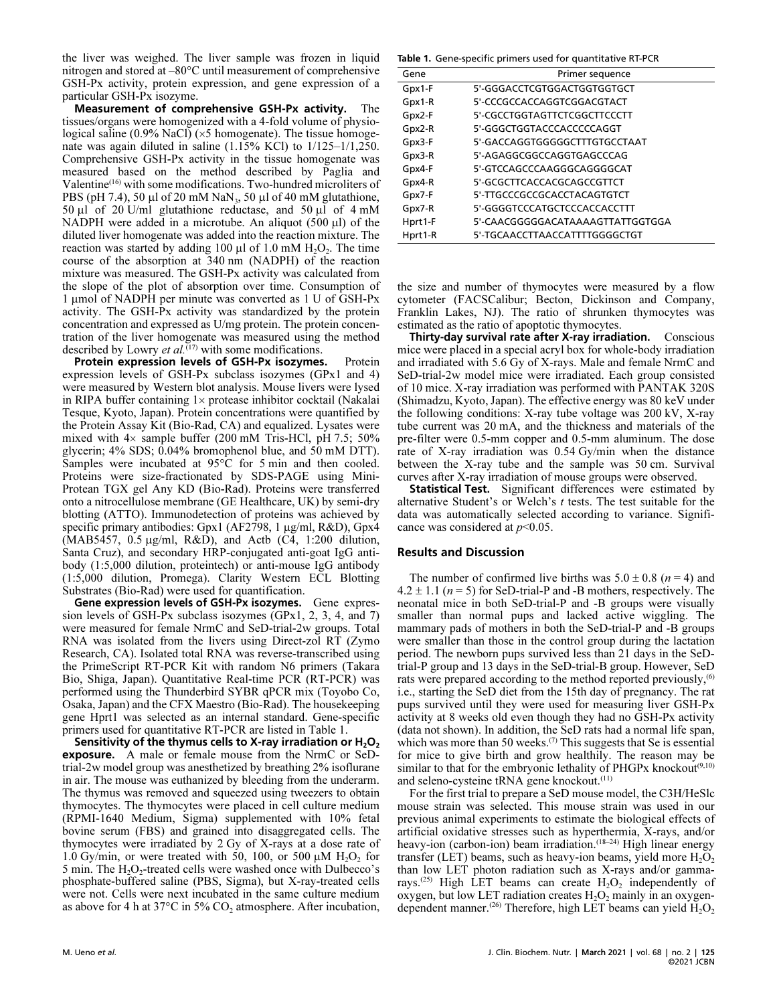the liver was weighed. The liver sample was frozen in liquid nitrogen and stored at –80°C until measurement of comprehensive GSH-Px activity, protein expression, and gene expression of a particular GSH-Px isozyme.

Measurement of comprehensive GSH-Px activity. The tissues/organs were homogenized with a 4-fold volume of physiological saline  $(0.9\%$  NaCl) ( $\times$ 5 homogenate). The tissue homogenate was again diluted in saline (1.15% KCl) to 1/125–1/1,250. Comprehensive GSH-Px activity in the tissue homogenate was measured based on the method described by Paglia and Valentine(16) with some modifications. Two-hundred microliters of PBS (pH 7.4), 50  $\mu$ l of 20 mM NaN<sub>3</sub>, 50  $\mu$ l of 40 mM glutathione, 50  $\mu$ l of 20 U/ml glutathione reductase, and 50  $\mu$ l of 4 mM NADPH were added in a microtube. An aliquot  $(500 \mu l)$  of the diluted liver homogenate was added into the reaction mixture. The reaction was started by adding 100  $\mu$ l of 1.0 mM H<sub>2</sub>O<sub>2</sub>. The time course of the absorption at 340 nm (NADPH) of the reaction mixture was measured. The GSH-Px activity was calculated from the slope of the plot of absorption over time. Consumption of 1 mmol of NADPH per minute was converted as 1 U of GSH-Px activity. The GSH-Px activity was standardized by the protein concentration and expressed as U/mg protein. The protein concentration of the liver homogenate was measured using the method described by Lowry et al.<sup> $(17)$ </sup> with some modifications.

Protein expression levels of GSH-Px isozymes. Protein expression levels of GSH-Px subclass isozymes (GPx1 and 4) were measured by Western blot analysis. Mouse livers were lysed in RIPA buffer containing  $1 \times$  protease inhibitor cocktail (Nakalai Tesque, Kyoto, Japan). Protein concentrations were quantified by the Protein Assay Kit (Bio-Rad, CA) and equalized. Lysates were mixed with  $4\times$  sample buffer (200 mM Tris-HCl, pH 7.5; 50%) glycerin; 4% SDS; 0.04% bromophenol blue, and 50 mM DTT). Samples were incubated at 95°C for 5 min and then cooled. Proteins were size-fractionated by SDS-PAGE using Mini-Protean TGX gel Any KD (Bio-Rad). Proteins were transferred onto a nitrocellulose membrane (GE Healthcare, UK) by semi-dry blotting (ATTO). Immunodetection of proteins was achieved by specific primary antibodies: Gpx1 (AF2798, 1 µg/ml, R&D), Gpx4  $(MAB5457, 0.5 \mu g/ml, R&D)$ , and Actb  $(C4, 1:200 \text{ dilution})$ Santa Cruz), and secondary HRP-conjugated anti-goat IgG antibody (1:5,000 dilution, proteintech) or anti-mouse IgG antibody (1:5,000 dilution, Promega). Clarity Western ECL Blotting Substrates (Bio-Rad) were used for quantification.

Gene expression levels of GSH-Px isozymes. Gene expression levels of GSH-Px subclass isozymes (GPx1, 2, 3, 4, and 7) were measured for female NrmC and SeD-trial-2w groups. Total RNA was isolated from the livers using Direct-zol RT (Zymo Research, CA). Isolated total RNA was reverse-transcribed using the PrimeScript RT-PCR Kit with random N6 primers (Takara Bio, Shiga, Japan). Quantitative Real-time PCR (RT-PCR) was performed using the Thunderbird SYBR qPCR mix (Toyobo Co, Osaka, Japan) and the CFX Maestro (Bio-Rad). The housekeeping gene Hprt1 was selected as an internal standard. Gene-specific primers used for quantitative RT-PCR are listed in Table 1.

Sensitivity of the thymus cells to X-ray irradiation or  ${\sf H_2O_2}$ exposure. A male or female mouse from the NrmC or SeDtrial-2w model group was anesthetized by breathing 2% isoflurane in air. The mouse was euthanized by bleeding from the underarm. The thymus was removed and squeezed using tweezers to obtain thymocytes. The thymocytes were placed in cell culture medium (RPMI-1640 Medium, Sigma) supplemented with 10% fetal bovine serum (FBS) and grained into disaggregated cells. The thymocytes were irradiated by 2 Gy of X-rays at a dose rate of 1.0 Gy/min, or were treated with 50, 100, or 500  $\mu$ M H<sub>2</sub>O<sub>2</sub> for 5 min. The  $H_2O_2$ -treated cells were washed once with Dulbecco's phosphate-buffered saline (PBS, Sigma), but X-ray-treated cells were not. Cells were next incubated in the same culture medium as above for 4 h at 37 $\rm{°C}$  in 5%  $\rm{CO}_2$  atmosphere. After incubation,

Table 1. Gene-specific primers used for quantitative RT-PCR

| Gene    | Primer sequence                  |
|---------|----------------------------------|
| Gpx1-F  | 5'-GGGACCTCGTGGACTGGTGGTGCT      |
| Gpx1-R  | 5'-CCCGCCACCAGGTCGGACGTACT       |
| Gpx2-F  | 5'-CGCCTGGTAGTTCTCGGCTTCCCTT     |
| Gpx2-R  | 5'-GGGCTGGTACCCACCCCCAGGT        |
| Gpx3-F  | 5'-GACCAGGTGGGGGCTTTGTGCCTAAT    |
| Gpx3-R  | 5'-AGAGGCGGCCAGGTGAGCCCAG        |
| Gpx4-F  | 5'-GTCCAGCCCAAGGGCAGGGCAT        |
| Gpx4-R  | 5'-GCGCTTCACCACGCAGCCGTTCT       |
| Gpx7-F  | 5'-TTGCCCGCCGCACCTACAGTGTCT      |
| Gpx7-R  | 5'-GGGGTCCCATGCTCCCACCACCTTT     |
| Hprt1-F | 5'-CAACGGGGGACATAAAAGTTATTGGTGGA |
| Hprt1-R | 5'-TGCAACCTTAACCATTTTGGGGCTGT    |

the size and number of thymocytes were measured by a flow cytometer (FACSCalibur; Becton, Dickinson and Company, Franklin Lakes, NJ). The ratio of shrunken thymocytes was estimated as the ratio of apoptotic thymocytes.

Thirty-day survival rate after X-ray irradiation. Conscious mice were placed in a special acryl box for whole-body irradiation and irradiated with 5.6 Gy of X-rays. Male and female NrmC and SeD-trial-2w model mice were irradiated. Each group consisted of 10 mice. X-ray irradiation was performed with PANTAK 320S (Shimadzu, Kyoto, Japan). The effective energy was 80 keV under the following conditions: X-ray tube voltage was 200 kV, X-ray tube current was 20 mA, and the thickness and materials of the pre-filter were 0.5-mm copper and 0.5-mm aluminum. The dose rate of X-ray irradiation was 0.54 Gy/min when the distance between the X-ray tube and the sample was 50 cm. Survival curves after X-ray irradiation of mouse groups were observed.

Statistical Test. Significant differences were estimated by alternative Student's or Welch's t tests. The test suitable for the data was automatically selected according to variance. Significance was considered at  $p<0.05$ .

## Results and Discussion

The number of confirmed live births was  $5.0 \pm 0.8$  ( $n = 4$ ) and  $4.2 \pm 1.1$  ( $n = 5$ ) for SeD-trial-P and -B mothers, respectively. The neonatal mice in both SeD-trial-P and -B groups were visually smaller than normal pups and lacked active wiggling. The mammary pads of mothers in both the SeD-trial-P and -B groups were smaller than those in the control group during the lactation period. The newborn pups survived less than 21 days in the SeDtrial-P group and 13 days in the SeD-trial-B group. However, SeD rats were prepared according to the method reported previously,<sup>(6)</sup> i.e., starting the SeD diet from the 15th day of pregnancy. The rat pups survived until they were used for measuring liver GSH-Px activity at 8 weeks old even though they had no GSH-Px activity (data not shown). In addition, the SeD rats had a normal life span, which was more than 50 weeks.<sup>(7)</sup> This suggests that Se is essential for mice to give birth and grow healthily. The reason may be similar to that for the embryonic lethality of PHGPx knockout<sup>(9,10)</sup> and seleno-cysteine tRNA gene knockout.(11)

For the first trial to prepare a SeD mouse model, the C3H/HeSlc mouse strain was selected. This mouse strain was used in our previous animal experiments to estimate the biological effects of artificial oxidative stresses such as hyperthermia, X-rays, and/or heavy-ion (carbon-ion) beam irradiation.<sup>(18-24)</sup> High linear energy transfer (LET) beams, such as heavy-ion beams, yield more  $H_2O_2$ than low LET photon radiation such as X-rays and/or gammarays.<sup>(25)</sup> High LET beams can create  $H_2O_2$  independently of oxygen, but low LET radiation creates  $H<sub>2</sub>O<sub>2</sub>$  mainly in an oxygendependent manner.<sup>(26)</sup> Therefore, high LET beams can yield  $H_2O_2$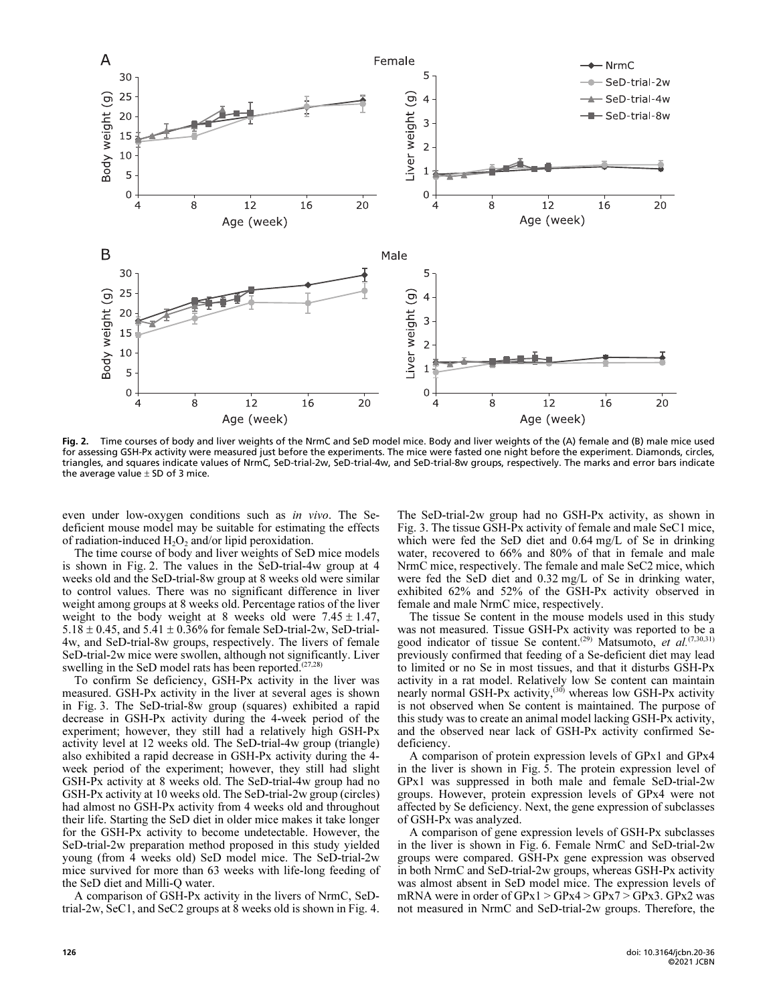

Fig. 2. Time courses of body and liver weights of the NrmC and SeD model mice. Body and liver weights of the (A) female and (B) male mice used for assessing GSH-Px activity were measured just before the experiments. The mice were fasted one night before the experiment. Diamonds, circles, triangles, and squares indicate values of NrmC, SeD-trial-2w, SeD-trial-4w, and SeD-trial-8w groups, respectively. The marks and error bars indicate the average value  $\pm$  SD of 3 mice.

even under low-oxygen conditions such as in vivo. The Sedeficient mouse model may be suitable for estimating the effects of radiation-induced  $H_2O_2$  and/or lipid peroxidation.

The time course of body and liver weights of SeD mice models is shown in Fig. 2. The values in the SeD-trial-4w group at 4 weeks old and the SeD-trial-8w group at 8 weeks old were similar to control values. There was no significant difference in liver weight among groups at 8 weeks old. Percentage ratios of the liver weight to the body weight at 8 weeks old were  $7.45 \pm 1.47$ ,  $5.18 \pm 0.45$ , and  $5.41 \pm 0.36\%$  for female SeD-trial-2w, SeD-trial-4w, and SeD-trial-8w groups, respectively. The livers of female SeD-trial-2w mice were swollen, although not significantly. Liver swelling in the SeD model rats has been reported.<sup>(27,28)</sup>

To confirm Se deficiency, GSH-Px activity in the liver was measured. GSH-Px activity in the liver at several ages is shown in Fig. 3. The SeD-trial-8w group (squares) exhibited a rapid decrease in GSH-Px activity during the 4-week period of the experiment; however, they still had a relatively high GSH-Px activity level at 12 weeks old. The SeD-trial-4w group (triangle) also exhibited a rapid decrease in GSH-Px activity during the 4 week period of the experiment; however, they still had slight GSH-Px activity at 8 weeks old. The SeD-trial-4w group had no GSH-Px activity at 10 weeks old. The SeD-trial-2w group (circles) had almost no GSH-Px activity from 4 weeks old and throughout their life. Starting the SeD diet in older mice makes it take longer for the GSH-Px activity to become undetectable. However, the SeD-trial-2w preparation method proposed in this study yielded young (from 4 weeks old) SeD model mice. The SeD-trial-2w mice survived for more than 63 weeks with life-long feeding of the SeD diet and Milli-Q water.

A comparison of GSH-Px activity in the livers of NrmC, SeDtrial-2w, SeC1, and SeC2 groups at 8 weeks old is shown in Fig. 4. The SeD-trial-2w group had no GSH-Px activity, as shown in Fig. 3. The tissue GSH-Px activity of female and male SeC1 mice, which were fed the SeD diet and 0.64 mg/L of Se in drinking water, recovered to 66% and 80% of that in female and male NrmC mice, respectively. The female and male SeC2 mice, which were fed the SeD diet and 0.32 mg/L of Se in drinking water, exhibited 62% and 52% of the GSH-Px activity observed in female and male NrmC mice, respectively.

The tissue Se content in the mouse models used in this study was not measured. Tissue GSH-Px activity was reported to be a was not measured. This content of the content  $(29)$  Matsumoto, *et al.*<sup>(7,30,31)</sup> and  $(7,30,31)$ previously confirmed that feeding of a Se-deficient diet may lead to limited or no Se in most tissues, and that it disturbs GSH-Px activity in a rat model. Relatively low Se content can maintain nearly normal GSH-Px activity,<sup> $(30)$ </sup> whereas low GSH-Px activity is not observed when Se content is maintained. The purpose of this study was to create an animal model lacking GSH-Px activity, and the observed near lack of GSH-Px activity confirmed Sedeficiency.

A comparison of protein expression levels of GPx1 and GPx4 in the liver is shown in Fig. 5. The protein expression level of GPx1 was suppressed in both male and female SeD-trial-2w groups. However, protein expression levels of GPx4 were not affected by Se deficiency. Next, the gene expression of subclasses of GSH-Px was analyzed.

A comparison of gene expression levels of GSH-Px subclasses in the liver is shown in Fig. 6. Female NrmC and SeD-trial-2w groups were compared. GSH-Px gene expression was observed in both NrmC and SeD-trial-2w groups, whereas GSH-Px activity was almost absent in SeD model mice. The expression levels of mRNA were in order of GPx1 > GPx4 > GPx7 > GPx3. GPx2 was not measured in NrmC and SeD-trial-2w groups. Therefore, the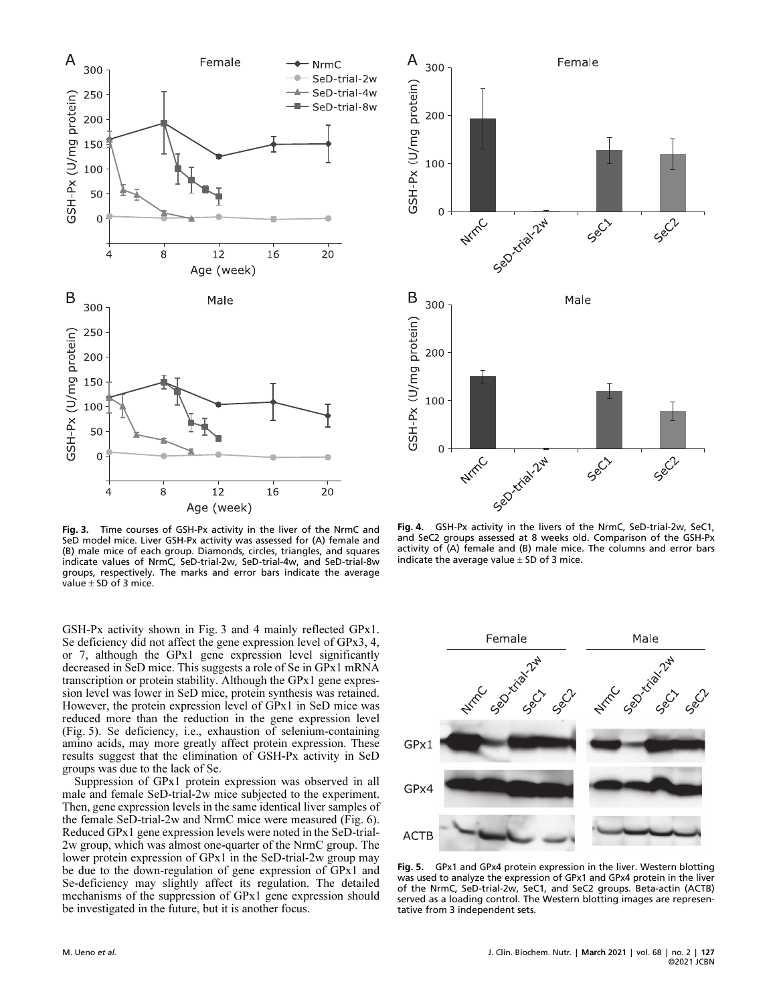

Fig. 3. Time courses of GSH-Px activity in the liver of the NrmC and SeD model mice. Liver GSH-Px activity was assessed for (A) female and (B) male mice of each group. Diamonds, circles, triangles, and squares indicate values of NrmC, SeD-trial-2w, SeD-trial-4w, and SeD-trial-8w groups, respectively. The marks and error bars indicate the average value  $\pm$  SD of 3 mice.

GSH-Px activity shown in Fig. 3 and 4 mainly reflected GPx1. Se deficiency did not affect the gene expression level of GPx3, 4, or 7, although the GPx1 gene expression level significantly decreased in SeD mice. This suggests a role of Se in GPx1 mRNA transcription or protein stability. Although the GPx1 gene expression level was lower in SeD mice, protein synthesis was retained. However, the protein expression level of GPx1 in SeD mice was reduced more than the reduction in the gene expression level (Fig. 5). Se deficiency, i.e., exhaustion of selenium-containing amino acids, may more greatly affect protein expression. These results suggest that the elimination of GSH-Px activity in SeD groups was due to the lack of Se.

Suppression of GPx1 protein expression was observed in all male and female SeD-trial-2w mice subjected to the experiment. Then, gene expression levels in the same identical liver samples of the female SeD-trial-2w and NrmC mice were measured (Fig. 6). Reduced GPx1 gene expression levels were noted in the SeD-trial-2w group, which was almost one-quarter of the NrmC group. The lower protein expression of GPx1 in the SeD-trial-2w group may be due to the down-regulation of gene expression of GPx1 and Se-deficiency may slightly affect its regulation. The detailed mechanisms of the suppression of GPx1 gene expression should be investigated in the future, but it is another focus.



Fig. 4. GSH-Px activity in the livers of the NrmC, SeD-trial-2w, SeC1, and SeC2 groups assessed at 8 weeks old. Comparison of the GSH-Px activity of (A) female and (B) male mice. The columns and error bars indicate the average value  $\pm$  SD of 3 mice.



Fig. 5. GPx1 and GPx4 protein expression in the liver. Western blotting was used to analyze the expression of GPx1 and GPx4 protein in the liver of the NrmC, SeD-trial-2w, SeC1, and SeC2 groups. Beta-actin (ACTB) served as a loading control. The Western blotting images are represen tative from 3 independent sets.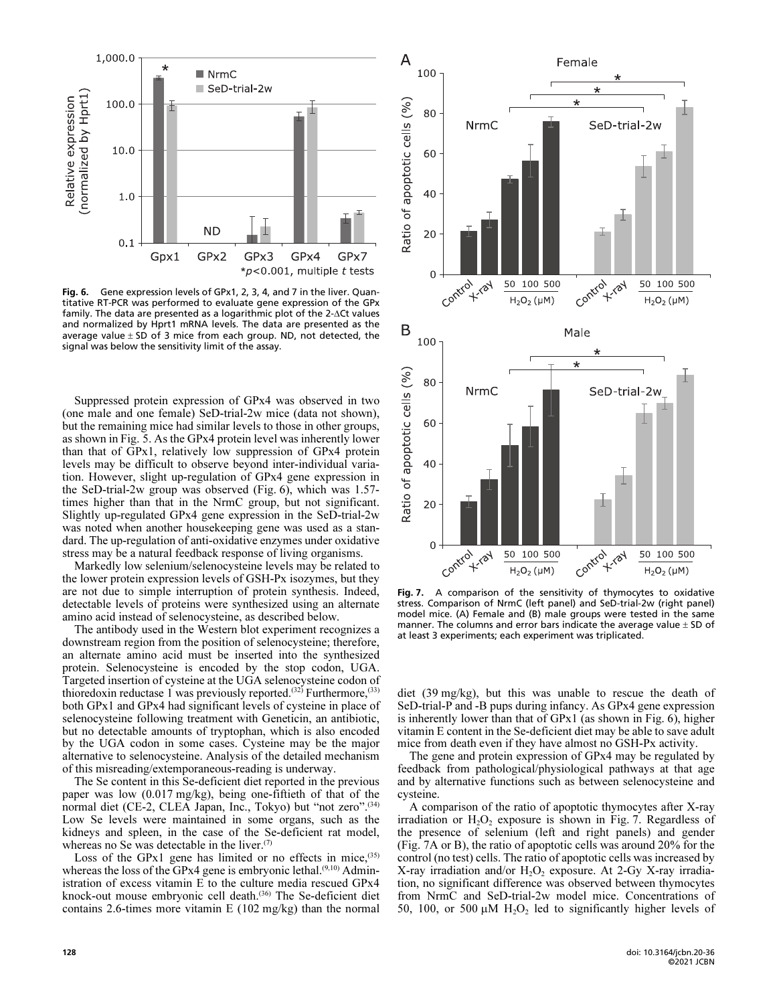

Fig. 6. Gene expression levels of GPx1, 2, 3, 4, and 7 in the liver. Quan titative RT-PCR was performed to evaluate gene expression of the GPx family. The data are presented as a logarithmic plot of the 2-ACt values and normalized by Hprt1 mRNA levels. The data are presented as the average value  $\pm$  SD of 3 mice from each group. ND, not detected, the signal was below the sensitivity limit of the assay.

Suppressed protein expression of GPx4 was observed in two (one male and one female) SeD-trial-2w mice (data not shown), but the remaining mice had similar levels to those in other groups, as shown in Fig. 5. As the GPx4 protein level was inherently lower than that of GPx1, relatively low suppression of GPx4 protein levels may be difficult to observe beyond inter-individual variation. However, slight up-regulation of GPx4 gene expression in the SeD-trial-2w group was observed (Fig. 6), which was 1.57 times higher than that in the NrmC group, but not significant. Slightly up-regulated GPx4 gene expression in the SeD-trial-2w was noted when another housekeeping gene was used as a standard. The up-regulation of anti-oxidative enzymes under oxidative stress may be a natural feedback response of living organisms.

Markedly low selenium/selenocysteine levels may be related to the lower protein expression levels of GSH-Px isozymes, but they are not due to simple interruption of protein synthesis. Indeed, detectable levels of proteins were synthesized using an alternate amino acid instead of selenocysteine, as described below.

The antibody used in the Western blot experiment recognizes a downstream region from the position of selenocysteine; therefore, an alternate amino acid must be inserted into the synthesized protein. Selenocysteine is encoded by the stop codon, UGA. Targeted insertion of cysteine at the UGA selenocysteine codon of thioredoxin reductase 1 was previously reported.<sup>(32)</sup> Furthermore,<sup>(33)</sup> both GPx1 and GPx4 had significant levels of cysteine in place of selenocysteine following treatment with Geneticin, an antibiotic, but no detectable amounts of tryptophan, which is also encoded by the UGA codon in some cases. Cysteine may be the major alternative to selenocysteine. Analysis of the detailed mechanism of this misreading/extemporaneous-reading is underway.

The Se content in this Se-deficient diet reported in the previous paper was low (0.017 mg/kg), being one-fiftieth of that of the normal diet (CE-2, CLEA Japan, Inc., Tokyo) but "not zero".<sup>(34)</sup> Low Se levels were maintained in some organs, such as the kidneys and spleen, in the case of the Se-deficient rat model, whereas no Se was detectable in the liver. $(7)$ 

Loss of the GPx1 gene has limited or no effects in mice,<sup>(35)</sup> whereas the loss of the GPx4 gene is embryonic lethal. $(9,10)$  Administration of excess vitamin E to the culture media rescued GPx4 knock-out mouse embryonic cell death.<sup>(36)</sup> The Se-deficient diet contains 2.6-times more vitamin E (102 mg/kg) than the normal



Fig. 7. A comparison of the sensitivity of thymocytes to oxidative stress. Comparison of NrmC (left panel) and SeD-trial-2w (right panel) model mice. (A) Female and (B) male groups were tested in the same manner. The columns and error bars indicate the average value  $\pm$  SD of at least 3 experiments; each experiment was triplicated.

diet (39 mg/kg), but this was unable to rescue the death of SeD-trial-P and -B pups during infancy. As GPx4 gene expression is inherently lower than that of GPx1 (as shown in Fig. 6), higher vitamin E content in the Se-deficient diet may be able to save adult mice from death even if they have almost no GSH-Px activity.

The gene and protein expression of GPx4 may be regulated by feedback from pathological/physiological pathways at that age and by alternative functions such as between selenocysteine and cysteine.

A comparison of the ratio of apoptotic thymocytes after X-ray irradiation or  $H_2O_2$  exposure is shown in Fig. 7. Regardless of the presence of selenium (left and right panels) and gender (Fig. 7A or B), the ratio of apoptotic cells was around 20% for the control (no test) cells. The ratio of apoptotic cells was increased by X-ray irradiation and/or  $H_2O_2$  exposure. At 2-Gy X-ray irradiation, no significant difference was observed between thymocytes from NrmC and SeD-trial-2w model mice. Concentrations of 50, 100, or 500  $\mu$ M H<sub>2</sub>O<sub>2</sub> led to significantly higher levels of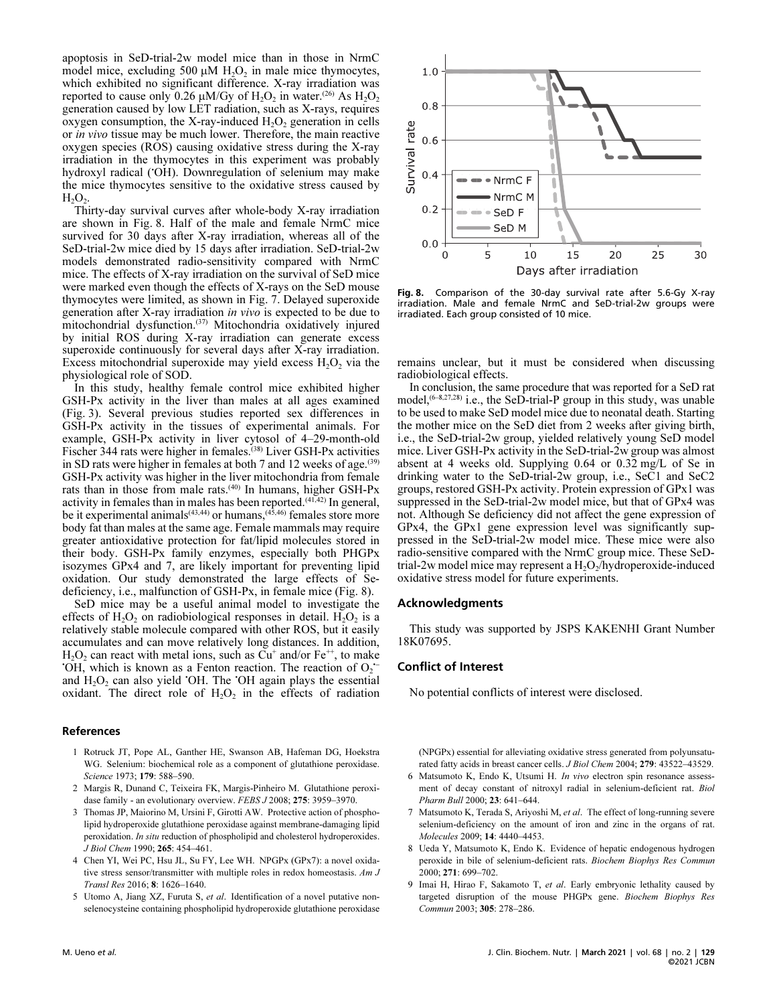apoptosis in SeD-trial-2w model mice than in those in NrmC model mice, excluding 500  $\mu$ M H<sub>2</sub>O<sub>2</sub> in male mice thymocytes, which exhibited no significant difference. X-ray irradiation was reported to cause only  $0.26 \mu M/Gy$  of H<sub>2</sub>O<sub>2</sub> in water.<sup>(26)</sup> As H<sub>2</sub>O<sub>2</sub> generation caused by low LET radiation, such as X-rays, requires oxygen consumption, the X-ray-induced  $H_2O_2$  generation in cells or in vivo tissue may be much lower. Therefore, the main reactive oxygen species (ROS) causing oxidative stress during the X-ray irradiation in the thymocytes in this experiment was probably hydroxyl radical ('OH). Downregulation of selenium may make the mice thymocytes sensitive to the oxidative stress caused by  $H_2O_2$ .

Thirty-day survival curves after whole-body X-ray irradiation are shown in Fig. 8. Half of the male and female NrmC mice survived for 30 days after X-ray irradiation, whereas all of the SeD-trial-2w mice died by 15 days after irradiation. SeD-trial-2w models demonstrated radio-sensitivity compared with NrmC mice. The effects of X-ray irradiation on the survival of SeD mice were marked even though the effects of X-rays on the SeD mouse thymocytes were limited, as shown in Fig. 7. Delayed superoxide generation after X-ray irradiation in vivo is expected to be due to mitochondrial dysfunction.<sup>(37)</sup> Mitochondria oxidatively injured by initial ROS during X-ray irradiation can generate excess superoxide continuously for several days after X-ray irradiation. Excess mitochondrial superoxide may yield excess  $H_2O_2$  via the physiological role of SOD.

In this study, healthy female control mice exhibited higher GSH-Px activity in the liver than males at all ages examined (Fig. 3). Several previous studies reported sex differences in GSH-Px activity in the tissues of experimental animals. For example, GSH-Px activity in liver cytosol of 4–29-month-old Fischer 344 rats were higher in females.<sup>(38)</sup> Liver GSH-Px activities in SD rats were higher in females at both 7 and 12 weeks of age. $(39)$ GSH-Px activity was higher in the liver mitochondria from female rats than in those from male rats.<sup>(40)</sup> In humans, higher GSH-Px activity in females than in males has been reported.(41,42) In general, be it experimental animals<sup> $(43,44)$ </sup> or humans, $(45,46)$  females store more body fat than males at the same age. Female mammals may require greater antioxidative protection for fat/lipid molecules stored in their body. GSH-Px family enzymes, especially both PHGPx isozymes GPx4 and 7, are likely important for preventing lipid oxidation. Our study demonstrated the large effects of Sedeficiency, i.e., malfunction of GSH-Px, in female mice (Fig. 8).

SeD mice may be a useful animal model to investigate the effects of  $H_2O_2$  on radiobiological responses in detail.  $H_2O_2$  is a relatively stable molecule compared with other ROS, but it easily accumulates and can move relatively long distances. In addition,  $H_2O_2$  can react with metal ions, such as  $Cu^+$  and/or Fe<sup>++</sup>, to make<br>OH, which is known as a Fenton reaction. The reaction of O 'OH, which is known as a Fenton reaction. The reaction of  $O<sub>2</sub>$ . y<br>1,<br>:and  $H_2O_2$  can also yield 'OH. The 'OH again plays the essential oxidant. The direct role of  $H_2O_2$  in the effects of radiation

### References

- 1 Rotruck JT, Pope AL, Ganther HE, Swanson AB, Hafeman DG, Hoekstra WG. Selenium: biochemical role as a component of glutathione peroxidase. Science 1973; 179: 588-590.
- 2 Margis R, Dunand C, Teixeira FK, Margis-Pinheiro M. Glutathione peroxidase family - an evolutionary overview. FEBS J 2008; 275: 3959–3970.
- 3 Thomas JP, Maiorino M, Ursini F, Girotti AW. Protective action of phospholipid hydroperoxide glutathione peroxidase against membrane-damaging lipid peroxidation. In situ reduction of phospholipid and cholesterol hydroperoxides. J Biol Chem 1990; 265: 454–461.
- 4 Chen YI, Wei PC, Hsu JL, Su FY, Lee WH. NPGPx (GPx7): a novel oxidative stress sensor/transmitter with multiple roles in redox homeostasis. Am J Transl Res 2016; 8: 1626–1640.
- 5 Utomo A, Jiang XZ, Furuta S, et al. Identification of a novel putative nonselenocysteine containing phospholipid hydroperoxide glutathione peroxidase



Fig. 8. Comparison of the 30-day survival rate after 5.6-Gy X-ray<br>irradiation, Male and female NrmC and SeD-trial-2w groups were irradiation. Male and female NrmC and SeD-trial-2w groups were irradiated. Each group consisted of 10 mice.

remains unclear, but it must be considered when discussing radiobiological effects.

In conclusion, the same procedure that was reported for a SeD rat model,<sup>(6-8,27,28)</sup> i.e., the SeD-trial-P group in this study, was unable to be used to make SeD model mice due to neonatal death. Starting the mother mice on the SeD diet from 2 weeks after giving birth, i.e., the SeD-trial-2w group, yielded relatively young SeD model mice. Liver GSH-Px activity in the SeD-trial-2w group was almost absent at 4 weeks old. Supplying 0.64 or 0.32 mg/L of Se in drinking water to the SeD-trial-2w group, i.e., SeC1 and SeC2 groups, restored GSH-Px activity. Protein expression of GPx1 was suppressed in the SeD-trial-2w model mice, but that of GPx4 was not. Although Se deficiency did not affect the gene expression of GPx4, the GPx1 gene expression level was significantly suppressed in the SeD-trial-2w model mice. These mice were also radio-sensitive compared with the NrmC group mice. These SeDtrial-2w model mice may represent a  $H<sub>2</sub>O<sub>2</sub>/$ hydroperoxide-induced oxidative stress model for future experiments.

#### Acknowledgments

This study was supported by JSPS KAKENHI Grant Number 18K07695.

## Conflict of Interest

No potential conflicts of interest were disclosed.

(NPGPx) essential for alleviating oxidative stress generated from polyunsaturated fatty acids in breast cancer cells. *J Biol Chem 2004*; 279: 43522-43529.

- 6 Matsumoto K, Endo K, Utsumi H. In vivo electron spin resonance assessment of decay constant of nitroxyl radial in selenium-deficient rat. Biol Pharm Bull 2000; 23: 641–644.
- 7 Matsumoto K, Terada S, Ariyoshi M, et al. The effect of long-running severe selenium-deficiency on the amount of iron and zinc in the organs of rat. Molecules 2009; 14: 4440–4453.
- 8 Ueda Y, Matsumoto K, Endo K. Evidence of hepatic endogenous hydrogen peroxide in bile of selenium-deficient rats. Biochem Biophys Res Commun 2000; 271: 699–702.
- 9 Imai H, Hirao F, Sakamoto T, et al. Early embryonic lethality caused by targeted disruption of the mouse PHGPx gene. Biochem Biophys Res Commun 2003; 305: 278–286.